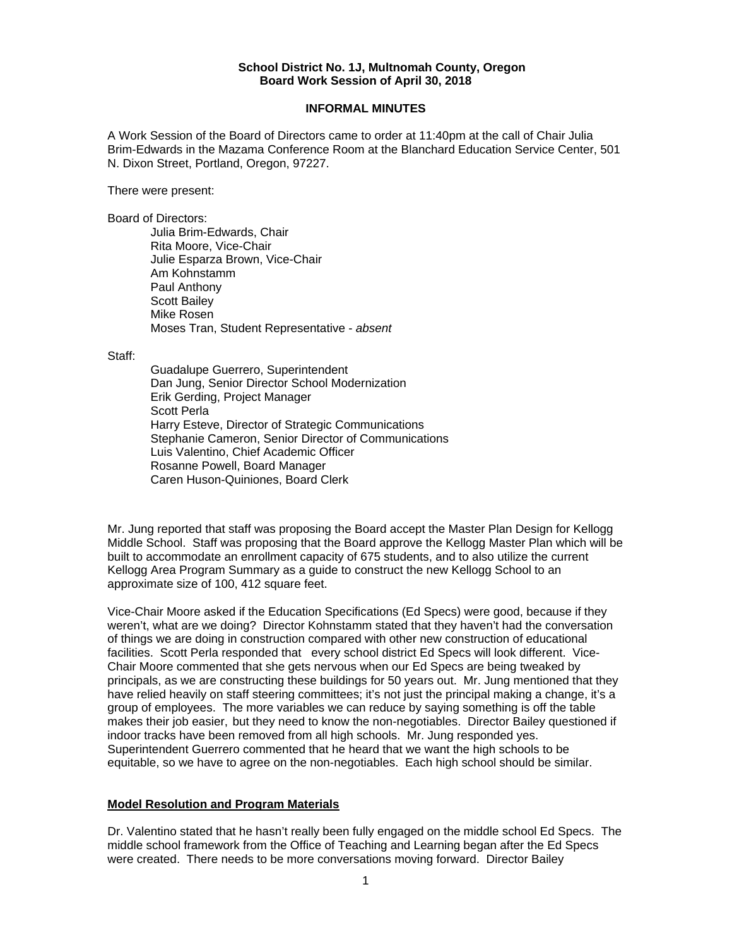### **School District No. 1J, Multnomah County, Oregon Board Work Session of April 30, 2018**

### **INFORMAL MINUTES**

A Work Session of the Board of Directors came to order at 11:40pm at the call of Chair Julia Brim-Edwards in the Mazama Conference Room at the Blanchard Education Service Center, 501 N. Dixon Street, Portland, Oregon, 97227.

There were present:

Board of Directors:

Julia Brim-Edwards, Chair Rita Moore, Vice-Chair Julie Esparza Brown, Vice-Chair Am Kohnstamm Paul Anthony Scott Bailey Mike Rosen Moses Tran, Student Representative - *absent* 

Staff:

 Guadalupe Guerrero, Superintendent Dan Jung, Senior Director School Modernization Erik Gerding, Project Manager Scott Perla Harry Esteve, Director of Strategic Communications Stephanie Cameron, Senior Director of Communications Luis Valentino, Chief Academic Officer Rosanne Powell, Board Manager Caren Huson-Quiniones, Board Clerk

Mr. Jung reported that staff was proposing the Board accept the Master Plan Design for Kellogg Middle School. Staff was proposing that the Board approve the Kellogg Master Plan which will be built to accommodate an enrollment capacity of 675 students, and to also utilize the current Kellogg Area Program Summary as a guide to construct the new Kellogg School to an approximate size of 100, 412 square feet.

Vice-Chair Moore asked if the Education Specifications (Ed Specs) were good, because if they weren't, what are we doing? Director Kohnstamm stated that they haven't had the conversation of things we are doing in construction compared with other new construction of educational facilities. Scott Perla responded that every school district Ed Specs will look different. Vice-Chair Moore commented that she gets nervous when our Ed Specs are being tweaked by principals, as we are constructing these buildings for 50 years out. Mr. Jung mentioned that they have relied heavily on staff steering committees; it's not just the principal making a change, it's a group of employees. The more variables we can reduce by saying something is off the table makes their job easier, but they need to know the non-negotiables. Director Bailey questioned if indoor tracks have been removed from all high schools. Mr. Jung responded yes. Superintendent Guerrero commented that he heard that we want the high schools to be equitable, so we have to agree on the non-negotiables. Each high school should be similar.

## **Model Resolution and Program Materials**

Dr. Valentino stated that he hasn't really been fully engaged on the middle school Ed Specs. The middle school framework from the Office of Teaching and Learning began after the Ed Specs were created. There needs to be more conversations moving forward. Director Bailey